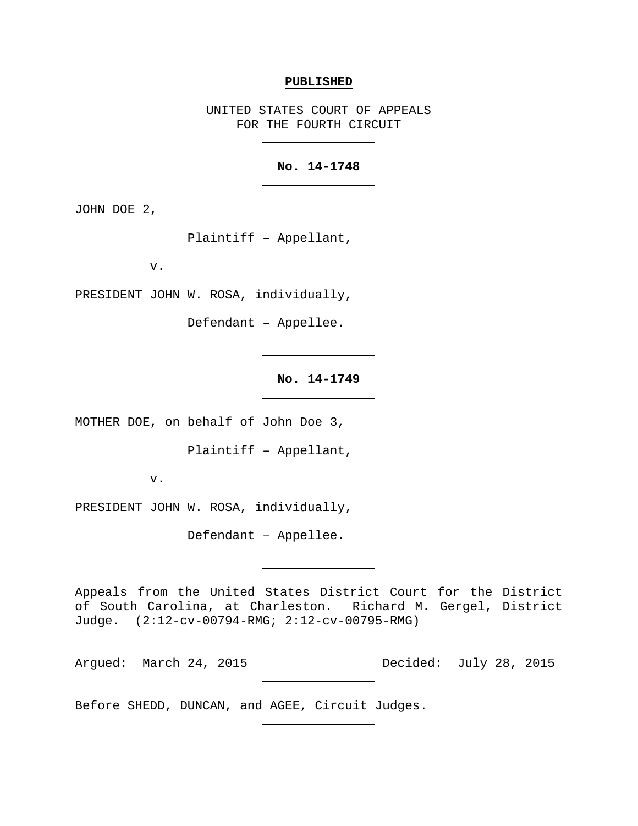#### **PUBLISHED**

UNITED STATES COURT OF APPEALS FOR THE FOURTH CIRCUIT

## **No. 14-1748**

JOHN DOE 2,

Plaintiff – Appellant,

v.

PRESIDENT JOHN W. ROSA, individually,

Defendant – Appellee.

## **No. 14-1749**

MOTHER DOE, on behalf of John Doe 3,

Plaintiff – Appellant,

v.

PRESIDENT JOHN W. ROSA, individually,

Defendant – Appellee.

Appeals from the United States District Court for the District of South Carolina, at Charleston. Richard M. Gergel, District Judge. (2:12-cv-00794-RMG; 2:12-cv-00795-RMG)

Argued: March 24, 2015 Decided: July 28, 2015

Before SHEDD, DUNCAN, and AGEE, Circuit Judges.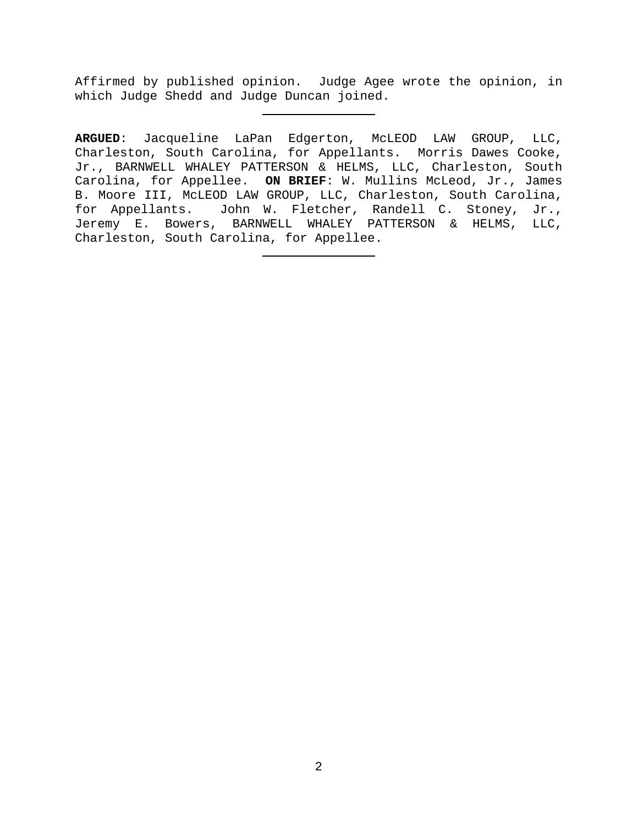Affirmed by published opinion. Judge Agee wrote the opinion, in which Judge Shedd and Judge Duncan joined.

**ARGUED**: Jacqueline LaPan Edgerton, McLEOD LAW GROUP, LLC, Charleston, South Carolina, for Appellants. Morris Dawes Cooke, Jr., BARNWELL WHALEY PATTERSON & HELMS, LLC, Charleston, South Carolina, for Appellee. **ON BRIEF**: W. Mullins McLeod, Jr., James B. Moore III, McLEOD LAW GROUP, LLC, Charleston, South Carolina, for Appellants. John W. Fletcher, Randell C. Stoney, Jr., Jeremy E. Bowers, BARNWELL WHALEY PATTERSON & HELMS, LLC, Charleston, South Carolina, for Appellee.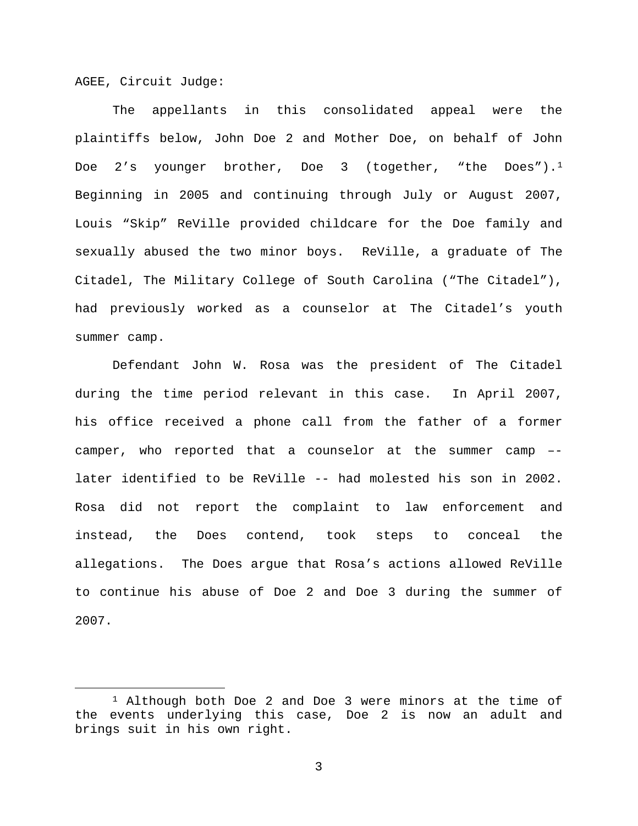AGEE, Circuit Judge:

The appellants in this consolidated appeal were the plaintiffs below, John Doe 2 and Mother Doe, on behalf of John Doe  $2's$  younger brother, Doe 3 (together, "the Does").<sup>[1](#page-2-0)</sup> Beginning in 2005 and continuing through July or August 2007, Louis "Skip" ReVille provided childcare for the Doe family and sexually abused the two minor boys. ReVille, a graduate of The Citadel, The Military College of South Carolina ("The Citadel"), had previously worked as a counselor at The Citadel's youth summer camp.

Defendant John W. Rosa was the president of The Citadel during the time period relevant in this case. In April 2007, his office received a phone call from the father of a former camper, who reported that a counselor at the summer camp – later identified to be ReVille -- had molested his son in 2002. Rosa did not report the complaint to law enforcement and instead, the Does contend, took steps to conceal the allegations. The Does argue that Rosa's actions allowed ReVille to continue his abuse of Doe 2 and Doe 3 during the summer of 2007.

<span id="page-2-0"></span> <sup>1</sup> Although both Doe 2 and Doe 3 were minors at the time of the events underlying this case, Doe 2 is now an adult and brings suit in his own right.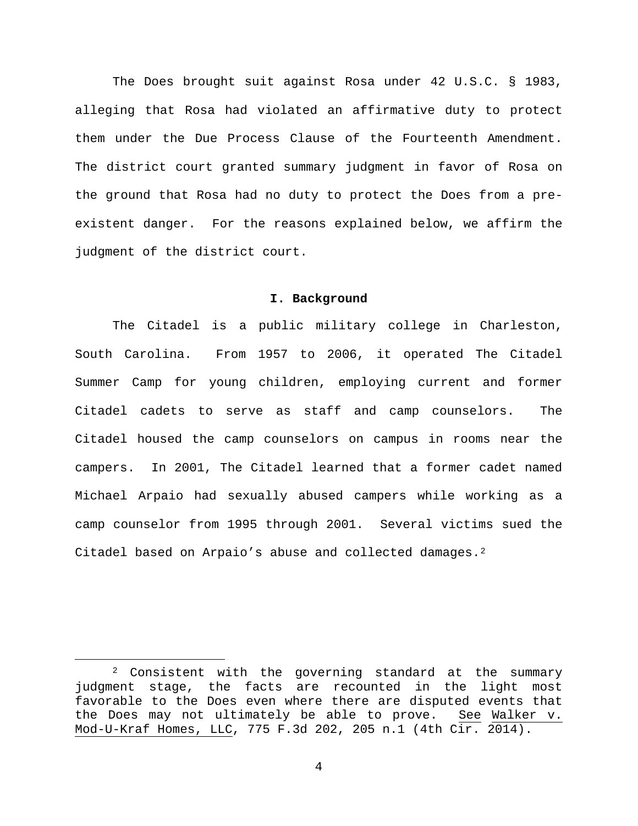The Does brought suit against Rosa under 42 U.S.C. § 1983, alleging that Rosa had violated an affirmative duty to protect them under the Due Process Clause of the Fourteenth Amendment. The district court granted summary judgment in favor of Rosa on the ground that Rosa had no duty to protect the Does from a preexistent danger. For the reasons explained below, we affirm the judgment of the district court.

### **I. Background**

The Citadel is a public military college in Charleston, South Carolina. From 1957 to 2006, it operated The Citadel Summer Camp for young children, employing current and former Citadel cadets to serve as staff and camp counselors. The Citadel housed the camp counselors on campus in rooms near the campers. In 2001, The Citadel learned that a former cadet named Michael Arpaio had sexually abused campers while working as a camp counselor from 1995 through 2001. Several victims sued the Citadel based on Arpaio's abuse and collected damages.<sup>[2](#page-3-0)</sup>

<span id="page-3-0"></span> <sup>2</sup> Consistent with the governing standard at the summary judgment stage, the facts are recounted in the light most favorable to the Does even where there are disputed events that<br>the Does may not ultimately be able to prove. See Walker v. the Does may not ultimately be able to prove. Mod-U-Kraf Homes, LLC, 775 F.3d 202, 205 n.1 (4th Cir. 2014).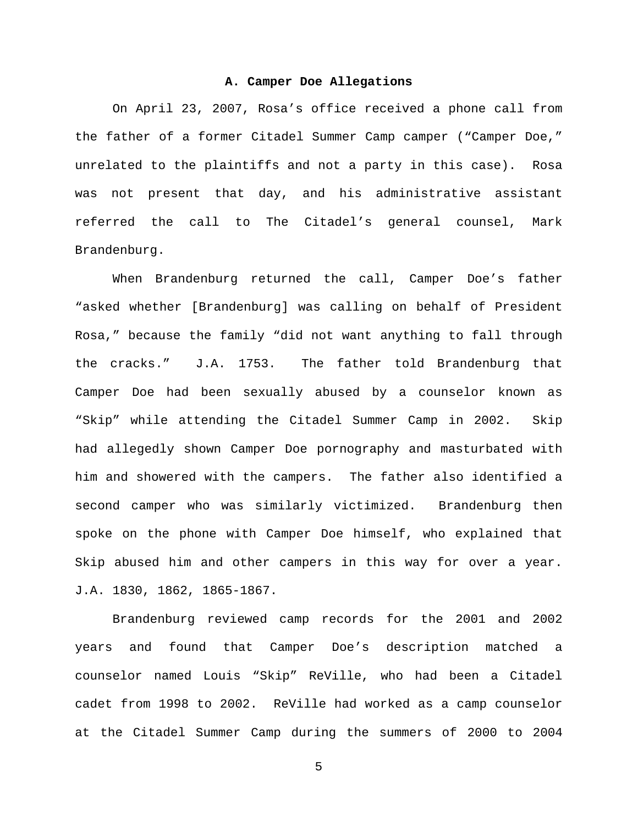#### **A. Camper Doe Allegations**

On April 23, 2007, Rosa's office received a phone call from the father of a former Citadel Summer Camp camper ("Camper Doe," unrelated to the plaintiffs and not a party in this case). Rosa was not present that day, and his administrative assistant referred the call to The Citadel's general counsel, Mark Brandenburg.

When Brandenburg returned the call, Camper Doe's father "asked whether [Brandenburg] was calling on behalf of President Rosa," because the family "did not want anything to fall through the cracks." J.A. 1753. The father told Brandenburg that Camper Doe had been sexually abused by a counselor known as "Skip" while attending the Citadel Summer Camp in 2002. Skip had allegedly shown Camper Doe pornography and masturbated with him and showered with the campers. The father also identified a second camper who was similarly victimized. Brandenburg then spoke on the phone with Camper Doe himself, who explained that Skip abused him and other campers in this way for over a year. J.A. 1830, 1862, 1865-1867.

Brandenburg reviewed camp records for the 2001 and 2002 years and found that Camper Doe's description matched a counselor named Louis "Skip" ReVille, who had been a Citadel cadet from 1998 to 2002. ReVille had worked as a camp counselor at the Citadel Summer Camp during the summers of 2000 to 2004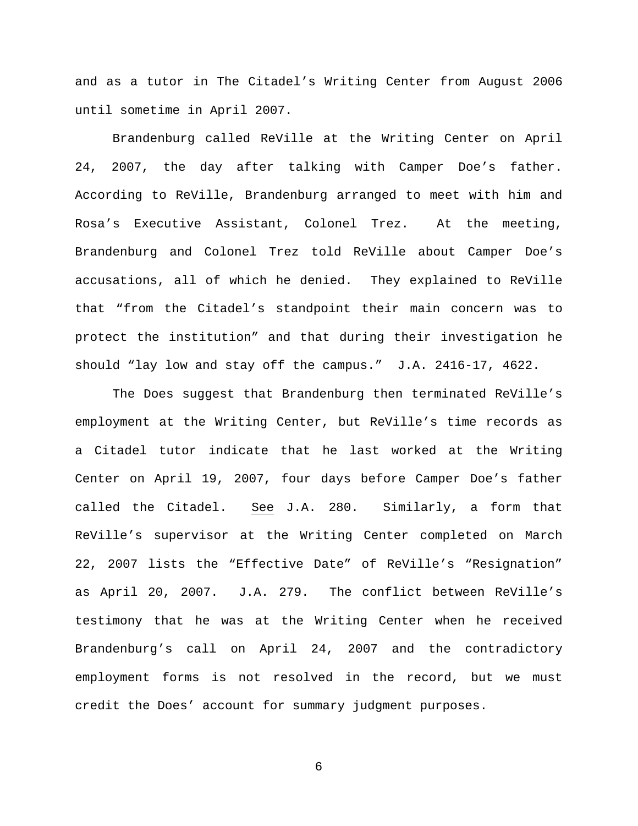and as a tutor in The Citadel's Writing Center from August 2006 until sometime in April 2007.

Brandenburg called ReVille at the Writing Center on April 24, 2007, the day after talking with Camper Doe's father. According to ReVille, Brandenburg arranged to meet with him and Rosa's Executive Assistant, Colonel Trez. At the meeting, Brandenburg and Colonel Trez told ReVille about Camper Doe's accusations, all of which he denied. They explained to ReVille that "from the Citadel's standpoint their main concern was to protect the institution" and that during their investigation he should "lay low and stay off the campus." J.A. 2416-17, 4622.

The Does suggest that Brandenburg then terminated ReVille's employment at the Writing Center, but ReVille's time records as a Citadel tutor indicate that he last worked at the Writing Center on April 19, 2007, four days before Camper Doe's father called the Citadel. See J.A. 280. Similarly, a form that ReVille's supervisor at the Writing Center completed on March 22, 2007 lists the "Effective Date" of ReVille's "Resignation" as April 20, 2007. J.A. 279. The conflict between ReVille's testimony that he was at the Writing Center when he received Brandenburg's call on April 24, 2007 and the contradictory employment forms is not resolved in the record, but we must credit the Does' account for summary judgment purposes.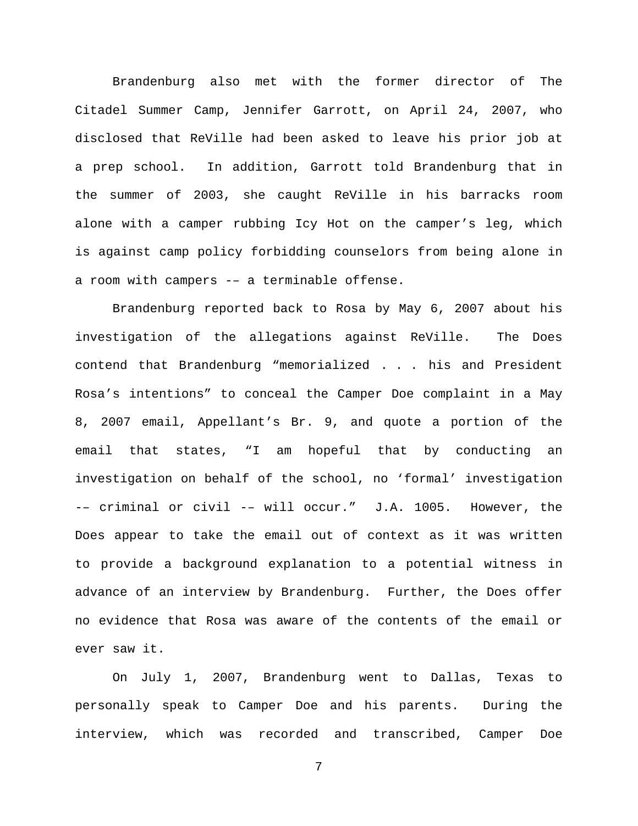Brandenburg also met with the former director of The Citadel Summer Camp, Jennifer Garrott, on April 24, 2007, who disclosed that ReVille had been asked to leave his prior job at a prep school. In addition, Garrott told Brandenburg that in the summer of 2003, she caught ReVille in his barracks room alone with a camper rubbing Icy Hot on the camper's leg, which is against camp policy forbidding counselors from being alone in a room with campers -– a terminable offense.

Brandenburg reported back to Rosa by May 6, 2007 about his investigation of the allegations against ReVille. The Does contend that Brandenburg "memorialized . . . his and President Rosa's intentions" to conceal the Camper Doe complaint in a May 8, 2007 email, Appellant's Br. 9, and quote a portion of the email that states, "I am hopeful that by conducting an investigation on behalf of the school, no 'formal' investigation -– criminal or civil -– will occur." J.A. 1005. However, the Does appear to take the email out of context as it was written to provide a background explanation to a potential witness in advance of an interview by Brandenburg. Further, the Does offer no evidence that Rosa was aware of the contents of the email or ever saw it.

On July 1, 2007, Brandenburg went to Dallas, Texas to personally speak to Camper Doe and his parents. During the interview, which was recorded and transcribed, Camper Doe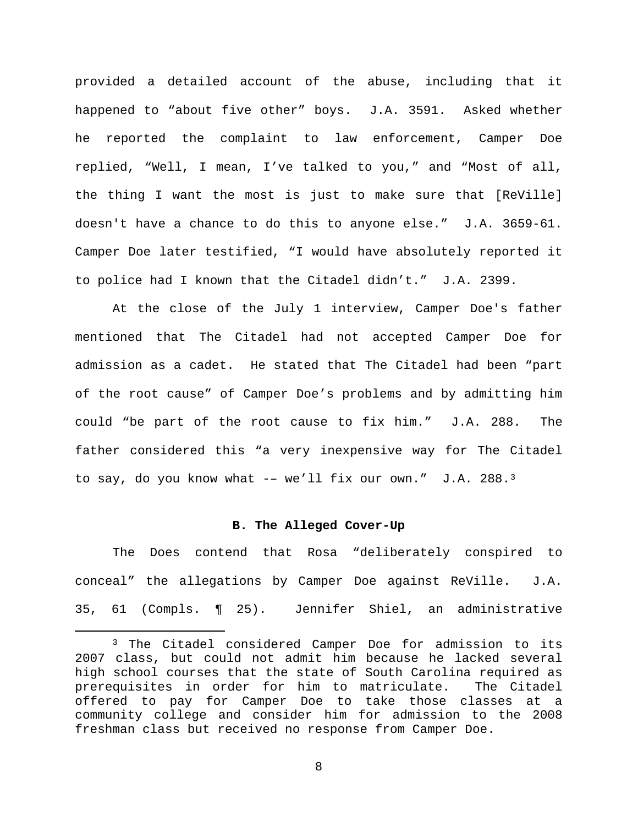provided a detailed account of the abuse, including that it happened to "about five other" boys. J.A. 3591. Asked whether he reported the complaint to law enforcement, Camper Doe replied, "Well, I mean, I've talked to you," and "Most of all, the thing I want the most is just to make sure that [ReVille] doesn't have a chance to do this to anyone else." J.A. 3659-61. Camper Doe later testified, "I would have absolutely reported it to police had I known that the Citadel didn't." J.A. 2399.

At the close of the July 1 interview, Camper Doe's father mentioned that The Citadel had not accepted Camper Doe for admission as a cadet. He stated that The Citadel had been "part of the root cause" of Camper Doe's problems and by admitting him could "be part of the root cause to fix him." J.A. 288. The father considered this "a very inexpensive way for The Citadel to say, do you know what  $--$  we'll fix our own." J.A. 288.<sup>[3](#page-7-0)</sup>

# **B. The Alleged Cover-Up**

The Does contend that Rosa "deliberately conspired to conceal" the allegations by Camper Doe against ReVille. J.A. 35, 61 (Compls. ¶ 25). Jennifer Shiel, an administrative

<span id="page-7-0"></span> <sup>3</sup> The Citadel considered Camper Doe for admission to its 2007 class, but could not admit him because he lacked several high school courses that the state of South Carolina required as prerequisites in order for him to matriculate. The Citadel offered to pay for Camper Doe to take those classes at a community college and consider him for admission to the 2008 freshman class but received no response from Camper Doe.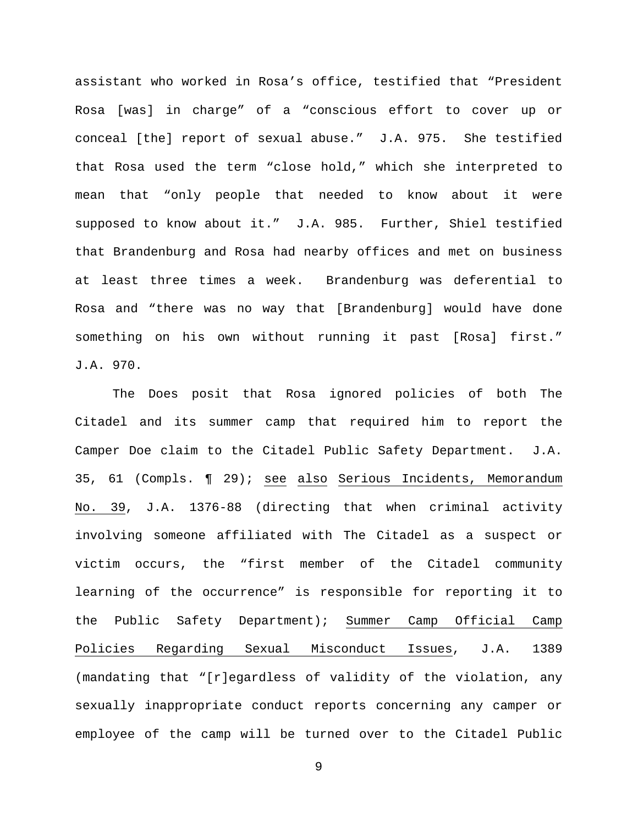assistant who worked in Rosa's office, testified that "President Rosa [was] in charge" of a "conscious effort to cover up or conceal [the] report of sexual abuse." J.A. 975. She testified that Rosa used the term "close hold," which she interpreted to mean that "only people that needed to know about it were supposed to know about it." J.A. 985. Further, Shiel testified that Brandenburg and Rosa had nearby offices and met on business at least three times a week. Brandenburg was deferential to Rosa and "there was no way that [Brandenburg] would have done something on his own without running it past [Rosa] first." J.A. 970.

The Does posit that Rosa ignored policies of both The Citadel and its summer camp that required him to report the Camper Doe claim to the Citadel Public Safety Department. J.A. 35, 61 (Compls. ¶ 29); see also Serious Incidents, Memorandum No. 39, J.A. 1376-88 (directing that when criminal activity involving someone affiliated with The Citadel as a suspect or victim occurs, the "first member of the Citadel community learning of the occurrence" is responsible for reporting it to the Public Safety Department); Summer Camp Official Camp Policies Regarding Sexual Misconduct Issues, J.A. 1389 (mandating that "[r]egardless of validity of the violation, any sexually inappropriate conduct reports concerning any camper or employee of the camp will be turned over to the Citadel Public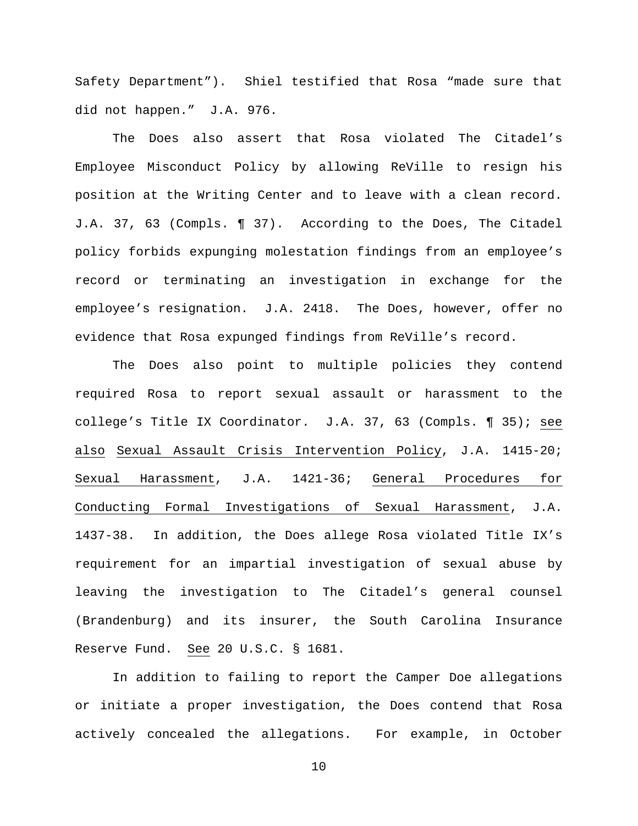Safety Department"). Shiel testified that Rosa "made sure that did not happen." J.A. 976.

The Does also assert that Rosa violated The Citadel's Employee Misconduct Policy by allowing ReVille to resign his position at the Writing Center and to leave with a clean record. J.A. 37, 63 (Compls. ¶ 37). According to the Does, The Citadel policy forbids expunging molestation findings from an employee's record or terminating an investigation in exchange for the employee's resignation. J.A. 2418. The Does, however, offer no evidence that Rosa expunged findings from ReVille's record.

The Does also point to multiple policies they contend required Rosa to report sexual assault or harassment to the college's Title IX Coordinator. J.A. 37, 63 (Compls. ¶ 35); see also Sexual Assault Crisis Intervention Policy, J.A. 1415-20; Sexual Harassment, J.A. 1421-36; General Procedures for Conducting Formal Investigations of Sexual Harassment, J.A. 1437-38. In addition, the Does allege Rosa violated Title IX's requirement for an impartial investigation of sexual abuse by leaving the investigation to The Citadel's general counsel (Brandenburg) and its insurer, the South Carolina Insurance Reserve Fund. See 20 U.S.C. § 1681.

In addition to failing to report the Camper Doe allegations or initiate a proper investigation, the Does contend that Rosa actively concealed the allegations. For example, in October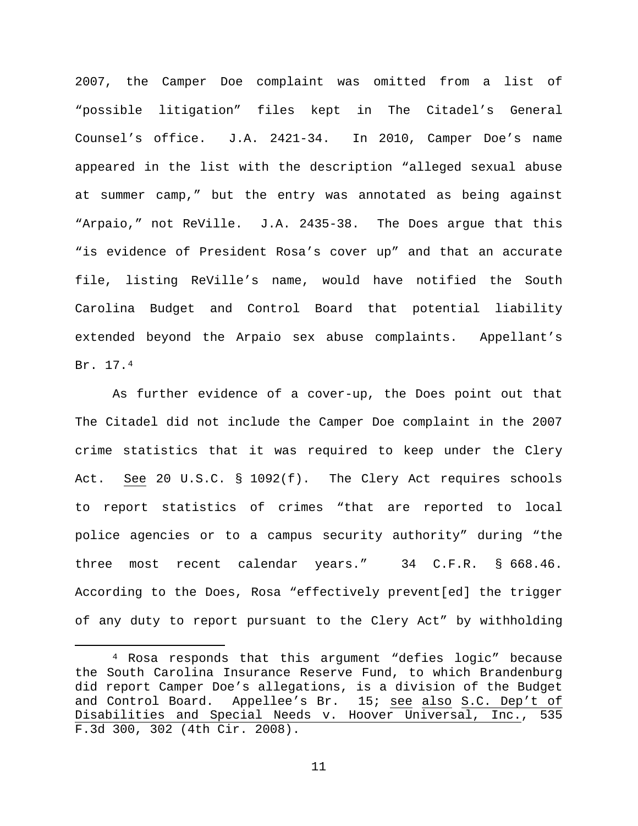2007, the Camper Doe complaint was omitted from a list of "possible litigation" files kept in The Citadel's General Counsel's office. J.A. 2421-34. In 2010, Camper Doe's name appeared in the list with the description "alleged sexual abuse at summer camp," but the entry was annotated as being against "Arpaio," not ReVille. J.A. 2435-38. The Does argue that this "is evidence of President Rosa's cover up" and that an accurate file, listing ReVille's name, would have notified the South Carolina Budget and Control Board that potential liability extended beyond the Arpaio sex abuse complaints. Appellant's Br. 17.[4](#page-10-0) 

As further evidence of a cover-up, the Does point out that The Citadel did not include the Camper Doe complaint in the 2007 crime statistics that it was required to keep under the Clery Act. See 20 U.S.C. § 1092(f). The Clery Act requires schools to report statistics of crimes "that are reported to local police agencies or to a campus security authority" during "the three most recent calendar years." 34 C.F.R. § 668.46. According to the Does, Rosa "effectively prevent[ed] the trigger of any duty to report pursuant to the Clery Act" by withholding

<span id="page-10-0"></span> <sup>4</sup> Rosa responds that this argument "defies logic" because the South Carolina Insurance Reserve Fund, to which Brandenburg did report Camper Doe's allegations, is a division of the Budget and Control Board. Appellee's Br. 15; see also S.C. Dep't of Disabilities and Special Needs v. Hoover Universal, Inc., 535 F.3d 300, 302 (4th Cir. 2008).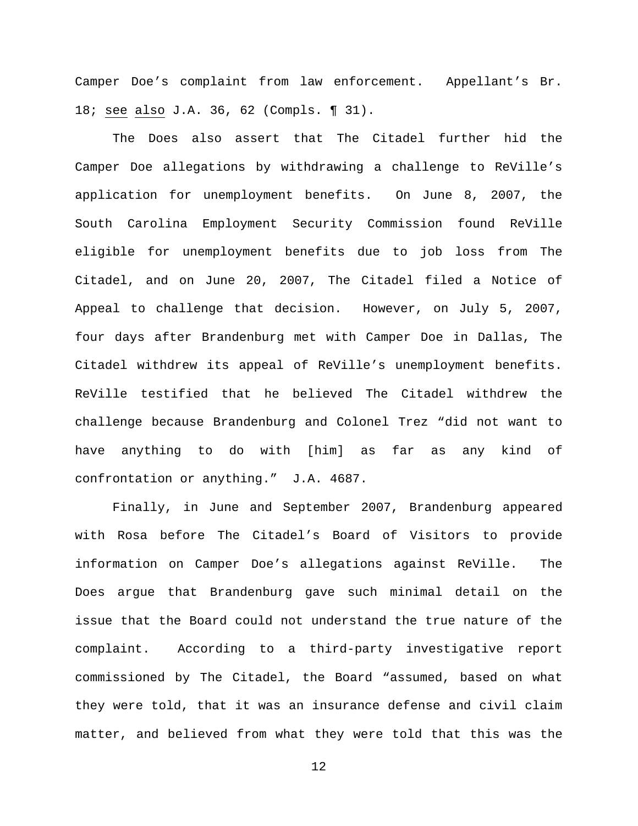Camper Doe's complaint from law enforcement. Appellant's Br. 18; see also J.A. 36, 62 (Compls. ¶ 31).

The Does also assert that The Citadel further hid the Camper Doe allegations by withdrawing a challenge to ReVille's application for unemployment benefits. On June 8, 2007, the South Carolina Employment Security Commission found ReVille eligible for unemployment benefits due to job loss from The Citadel, and on June 20, 2007, The Citadel filed a Notice of Appeal to challenge that decision. However, on July 5, 2007, four days after Brandenburg met with Camper Doe in Dallas, The Citadel withdrew its appeal of ReVille's unemployment benefits. ReVille testified that he believed The Citadel withdrew the challenge because Brandenburg and Colonel Trez "did not want to have anything to do with [him] as far as any kind of confrontation or anything." J.A. 4687.

Finally, in June and September 2007, Brandenburg appeared with Rosa before The Citadel's Board of Visitors to provide information on Camper Doe's allegations against ReVille. The Does argue that Brandenburg gave such minimal detail on the issue that the Board could not understand the true nature of the complaint. According to a third-party investigative report commissioned by The Citadel, the Board "assumed, based on what they were told, that it was an insurance defense and civil claim matter, and believed from what they were told that this was the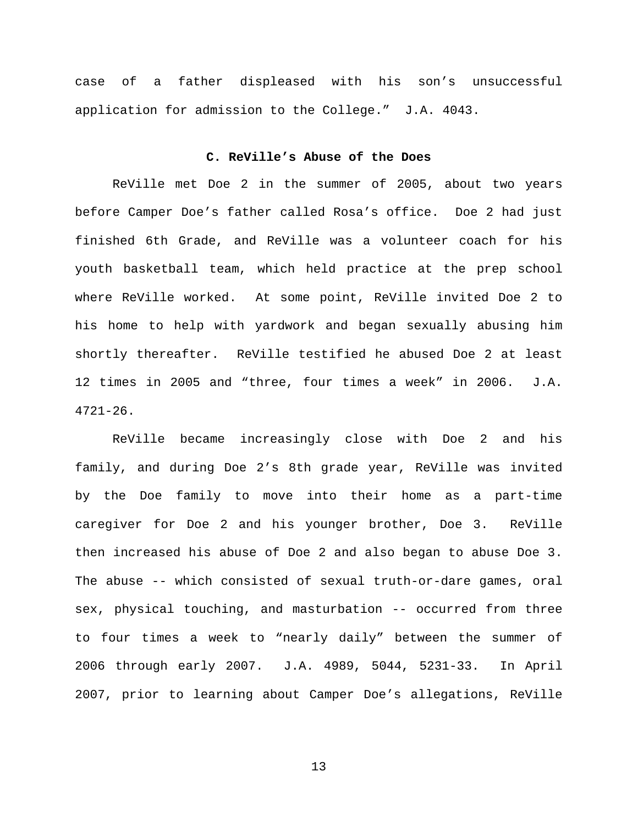case of a father displeased with his son's unsuccessful application for admission to the College." J.A. 4043.

#### **C. ReVille's Abuse of the Does**

ReVille met Doe 2 in the summer of 2005, about two years before Camper Doe's father called Rosa's office. Doe 2 had just finished 6th Grade, and ReVille was a volunteer coach for his youth basketball team, which held practice at the prep school where ReVille worked. At some point, ReVille invited Doe 2 to his home to help with yardwork and began sexually abusing him shortly thereafter. ReVille testified he abused Doe 2 at least 12 times in 2005 and "three, four times a week" in 2006. J.A.  $4721 - 26$ .

ReVille became increasingly close with Doe 2 and his family, and during Doe 2's 8th grade year, ReVille was invited by the Doe family to move into their home as a part-time caregiver for Doe 2 and his younger brother, Doe 3. ReVille then increased his abuse of Doe 2 and also began to abuse Doe 3. The abuse -- which consisted of sexual truth-or-dare games, oral sex, physical touching, and masturbation -- occurred from three to four times a week to "nearly daily" between the summer of 2006 through early 2007. J.A. 4989, 5044, 5231-33. In April 2007, prior to learning about Camper Doe's allegations, ReVille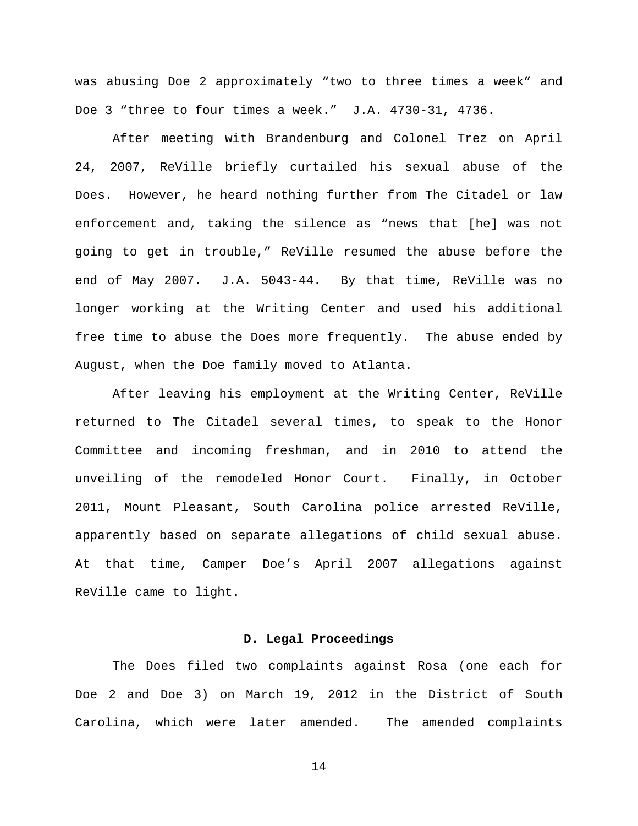was abusing Doe 2 approximately "two to three times a week" and Doe 3 "three to four times a week." J.A. 4730-31, 4736.

After meeting with Brandenburg and Colonel Trez on April 24, 2007, ReVille briefly curtailed his sexual abuse of the Does. However, he heard nothing further from The Citadel or law enforcement and, taking the silence as "news that [he] was not going to get in trouble," ReVille resumed the abuse before the end of May 2007. J.A. 5043-44. By that time, ReVille was no longer working at the Writing Center and used his additional free time to abuse the Does more frequently. The abuse ended by August, when the Doe family moved to Atlanta.

After leaving his employment at the Writing Center, ReVille returned to The Citadel several times, to speak to the Honor Committee and incoming freshman, and in 2010 to attend the unveiling of the remodeled Honor Court. Finally, in October 2011, Mount Pleasant, South Carolina police arrested ReVille, apparently based on separate allegations of child sexual abuse. At that time, Camper Doe's April 2007 allegations against ReVille came to light.

## **D. Legal Proceedings**

The Does filed two complaints against Rosa (one each for Doe 2 and Doe 3) on March 19, 2012 in the District of South Carolina, which were later amended. The amended complaints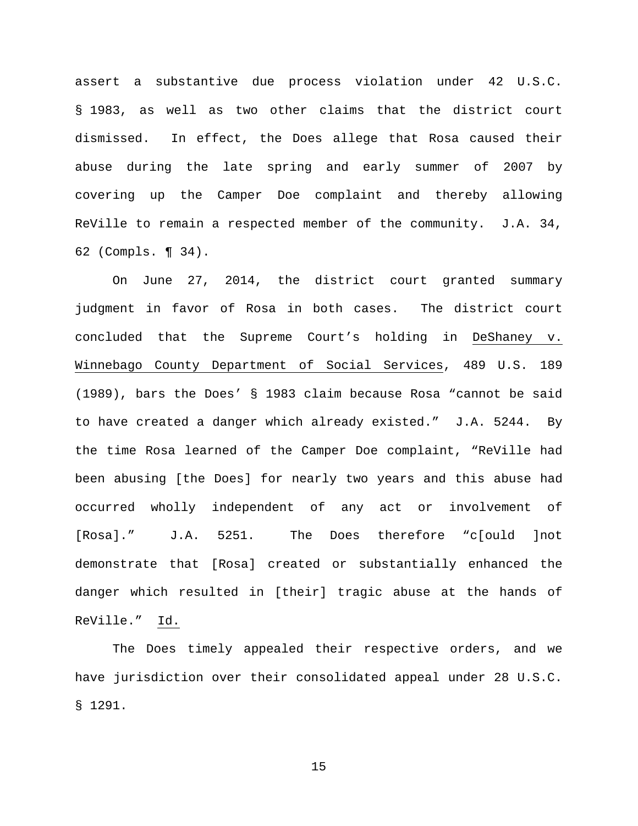assert a substantive due process violation under 42 U.S.C. § 1983, as well as two other claims that the district court dismissed. In effect, the Does allege that Rosa caused their abuse during the late spring and early summer of 2007 by covering up the Camper Doe complaint and thereby allowing ReVille to remain a respected member of the community. J.A. 34, 62 (Compls. ¶ 34).

On June 27, 2014, the district court granted summary judgment in favor of Rosa in both cases. The district court concluded that the Supreme Court's holding in DeShaney v. Winnebago County Department of Social Services, 489 U.S. 189 (1989), bars the Does' § 1983 claim because Rosa "cannot be said to have created a danger which already existed." J.A. 5244. By the time Rosa learned of the Camper Doe complaint, "ReVille had been abusing [the Does] for nearly two years and this abuse had occurred wholly independent of any act or involvement of [Rosa]." J.A. 5251. The Does therefore "c[ould ]not demonstrate that [Rosa] created or substantially enhanced the danger which resulted in [their] tragic abuse at the hands of ReVille." Id.

The Does timely appealed their respective orders, and we have jurisdiction over their consolidated appeal under 28 U.S.C. § 1291.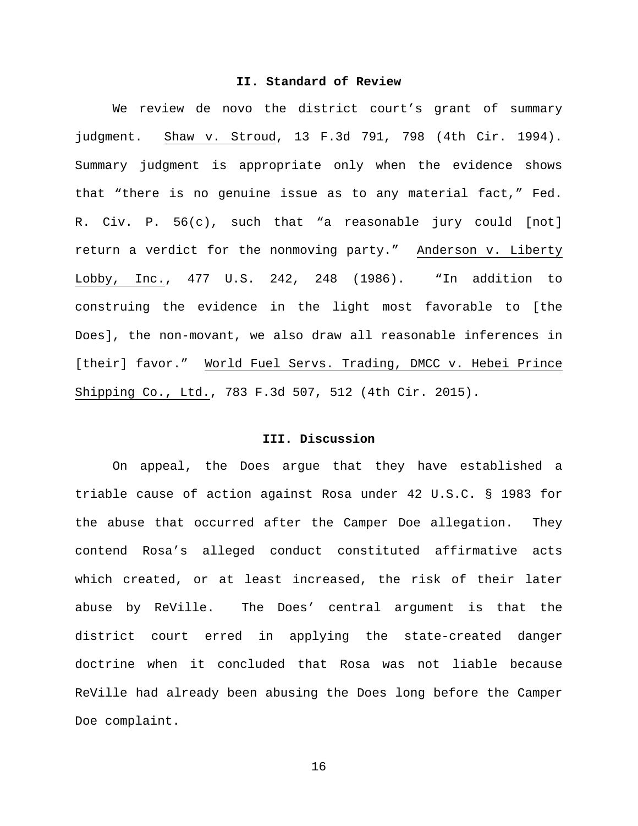# **II. Standard of Review**

We review de novo the district court's grant of summary judgment. Shaw v. Stroud, 13 F.3d 791, 798 (4th Cir. 1994). Summary judgment is appropriate only when the evidence shows that "there is no genuine issue as to any material fact," Fed. R. Civ. P. 56(c), such that "a reasonable jury could [not] return a verdict for the nonmoving party." Anderson v. Liberty Lobby, Inc., 477 U.S. 242, 248 (1986). "In addition to construing the evidence in the light most favorable to [the Does], the non-movant, we also draw all reasonable inferences in [their] favor." World Fuel Servs. Trading, DMCC v. Hebei Prince Shipping Co., Ltd., 783 F.3d 507, 512 (4th Cir. 2015).

### **III. Discussion**

On appeal, the Does argue that they have established a triable cause of action against Rosa under 42 U.S.C. § 1983 for the abuse that occurred after the Camper Doe allegation. They contend Rosa's alleged conduct constituted affirmative acts which created, or at least increased, the risk of their later abuse by ReVille. The Does' central argument is that the district court erred in applying the state-created danger doctrine when it concluded that Rosa was not liable because ReVille had already been abusing the Does long before the Camper Doe complaint.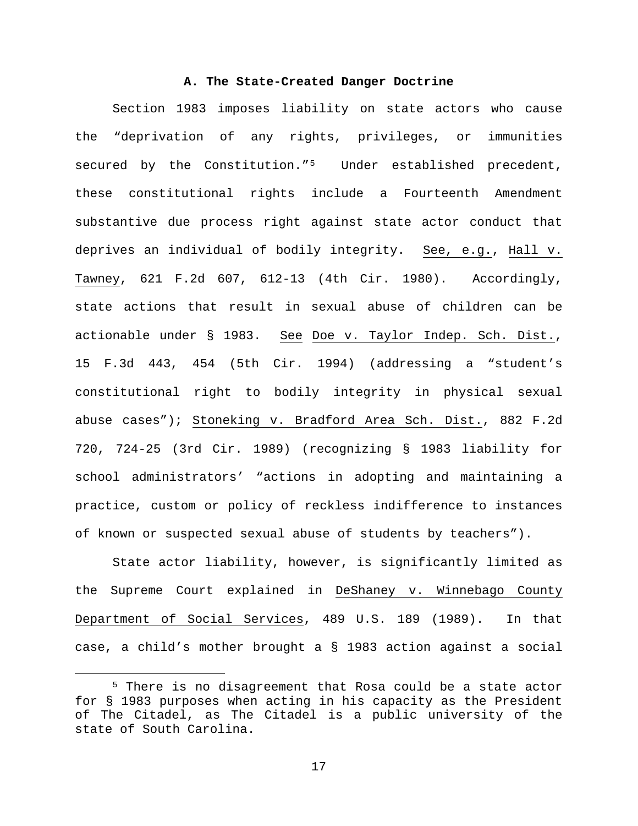## **A. The State-Created Danger Doctrine**

Section 1983 imposes liability on state actors who cause the "deprivation of any rights, privileges, or immunities secured by the Constitution."[5](#page-16-0) Under established precedent, these constitutional rights include a Fourteenth Amendment substantive due process right against state actor conduct that deprives an individual of bodily integrity. See, e.g., Hall v. Tawney, 621 F.2d 607, 612-13 (4th Cir. 1980). Accordingly, state actions that result in sexual abuse of children can be actionable under § 1983. See Doe v. Taylor Indep. Sch. Dist., 15 F.3d 443, 454 (5th Cir. 1994) (addressing a "student's constitutional right to bodily integrity in physical sexual abuse cases"); Stoneking v. Bradford Area Sch. Dist., 882 F.2d 720, 724-25 (3rd Cir. 1989) (recognizing § 1983 liability for school administrators' "actions in adopting and maintaining a practice, custom or policy of reckless indifference to instances of known or suspected sexual abuse of students by teachers").

State actor liability, however, is significantly limited as the Supreme Court explained in DeShaney v. Winnebago County Department of Social Services, 489 U.S. 189 (1989). In that case, a child's mother brought a § 1983 action against a social

<span id="page-16-0"></span> <sup>5</sup> There is no disagreement that Rosa could be a state actor for § 1983 purposes when acting in his capacity as the President of The Citadel, as The Citadel is a public university of the state of South Carolina.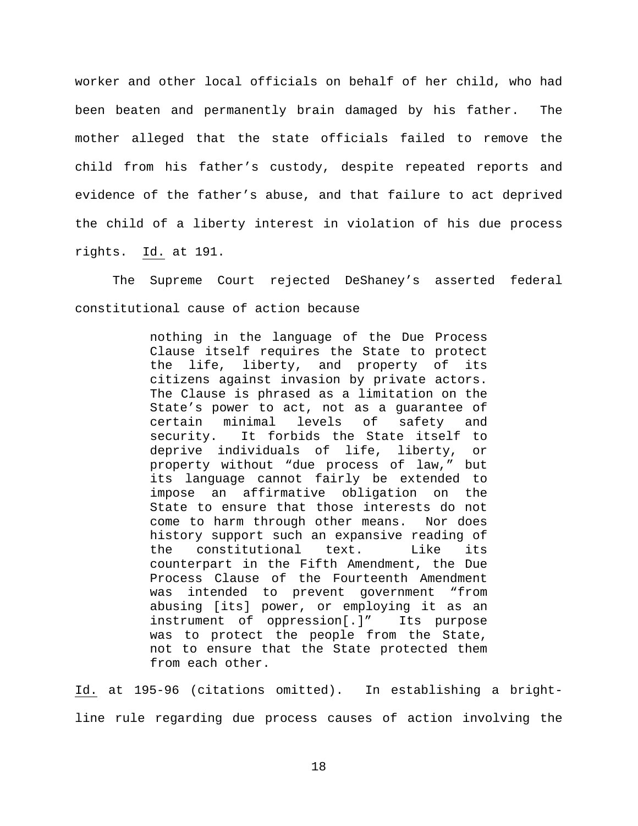worker and other local officials on behalf of her child, who had been beaten and permanently brain damaged by his father. The mother alleged that the state officials failed to remove the child from his father's custody, despite repeated reports and evidence of the father's abuse, and that failure to act deprived the child of a liberty interest in violation of his due process rights. Id. at 191.

The Supreme Court rejected DeShaney's asserted federal constitutional cause of action because

> nothing in the language of the Due Process Clause itself requires the State to protect the life, liberty, and property of its citizens against invasion by private actors. The Clause is phrased as a limitation on the State's power to act, not as a guarantee of certain minimal levels of safety and<br>security. It forbids the State itself to It forbids the State itself to deprive individuals of life, liberty, or property without "due process of law," but its language cannot fairly be extended to impose an affirmative obligation on the State to ensure that those interests do not come to harm through other means. Nor does history support such an expansive reading of<br>the constitutional text. Like its the constitutional text. Like its counterpart in the Fifth Amendment, the Due Process Clause of the Fourteenth Amendment was intended to prevent government "from abusing [its] power, or employing it as an instrument of oppression[.]" Its purpose was to protect the people from the State, not to ensure that the State protected them from each other.

Id. at 195-96 (citations omitted). In establishing a brightline rule regarding due process causes of action involving the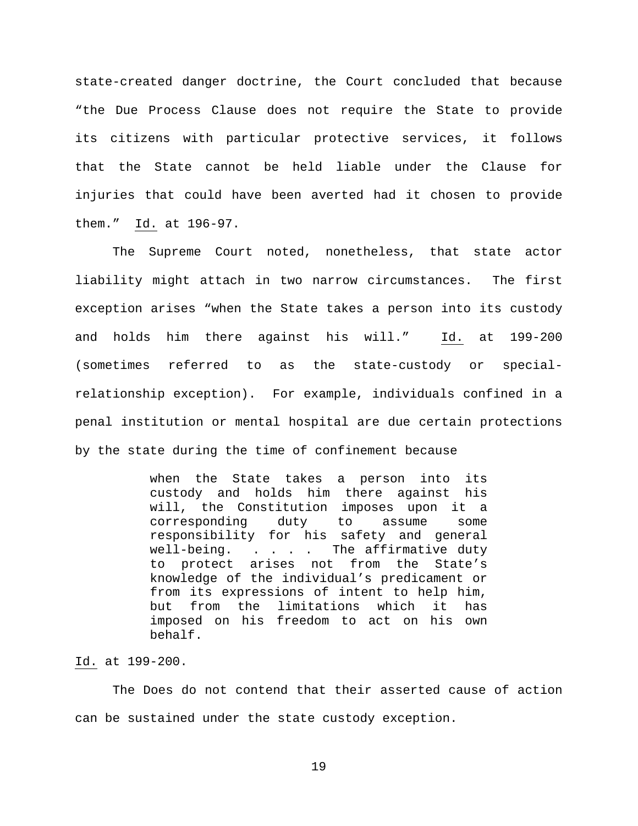state-created danger doctrine, the Court concluded that because "the Due Process Clause does not require the State to provide its citizens with particular protective services, it follows that the State cannot be held liable under the Clause for injuries that could have been averted had it chosen to provide them." Id. at 196-97.

The Supreme Court noted, nonetheless, that state actor liability might attach in two narrow circumstances. The first exception arises "when the State takes a person into its custody and holds him there against his will." Id. at 199-200 (sometimes referred to as the state-custody or specialrelationship exception). For example, individuals confined in a penal institution or mental hospital are due certain protections by the state during the time of confinement because

> when the State takes a person into its custody and holds him there against his will, the Constitution imposes upon it a corresponding duty to assume some responsibility for his safety and general well-being. . . . . The affirmative duty to protect arises not from the State's knowledge of the individual's predicament or from its expressions of intent to help him, but from the limitations which it has imposed on his freedom to act on his own behalf.

# Id. at 199-200.

The Does do not contend that their asserted cause of action can be sustained under the state custody exception.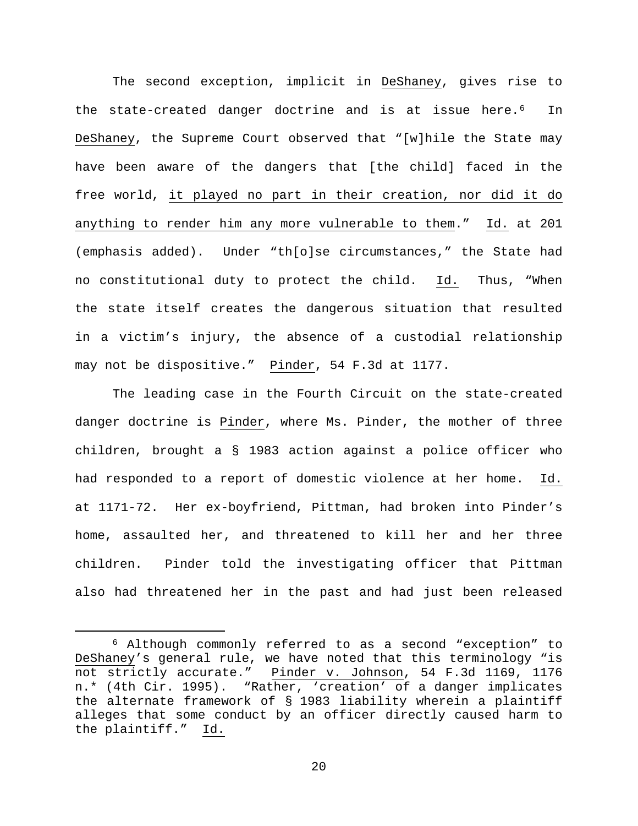The second exception, implicit in DeShaney, gives rise to the state-created danger doctrine and is at issue here.<sup>6</sup> In DeShaney, the Supreme Court observed that "[w]hile the State may have been aware of the dangers that [the child] faced in the free world, it played no part in their creation, nor did it do anything to render him any more vulnerable to them." Id. at 201 (emphasis added). Under "th[o]se circumstances," the State had no constitutional duty to protect the child. Id. Thus, "When the state itself creates the dangerous situation that resulted in a victim's injury, the absence of a custodial relationship may not be dispositive." Pinder, 54 F.3d at 1177.

The leading case in the Fourth Circuit on the state-created danger doctrine is Pinder, where Ms. Pinder, the mother of three children, brought a § 1983 action against a police officer who had responded to a report of domestic violence at her home. Id. at 1171-72. Her ex-boyfriend, Pittman, had broken into Pinder's home, assaulted her, and threatened to kill her and her three children. Pinder told the investigating officer that Pittman also had threatened her in the past and had just been released

<span id="page-19-0"></span> <sup>6</sup> Although commonly referred to as a second "exception" to DeShaney's general rule, we have noted that this terminology "is not strictly accurate." Pinder v. Johnson, 54 F.3d 1169, 1176 n.\* (4th Cir. 1995). "Rather, 'creation' of a danger implicates the alternate framework of § 1983 liability wherein a plaintiff alleges that some conduct by an officer directly caused harm to the plaintiff." Id.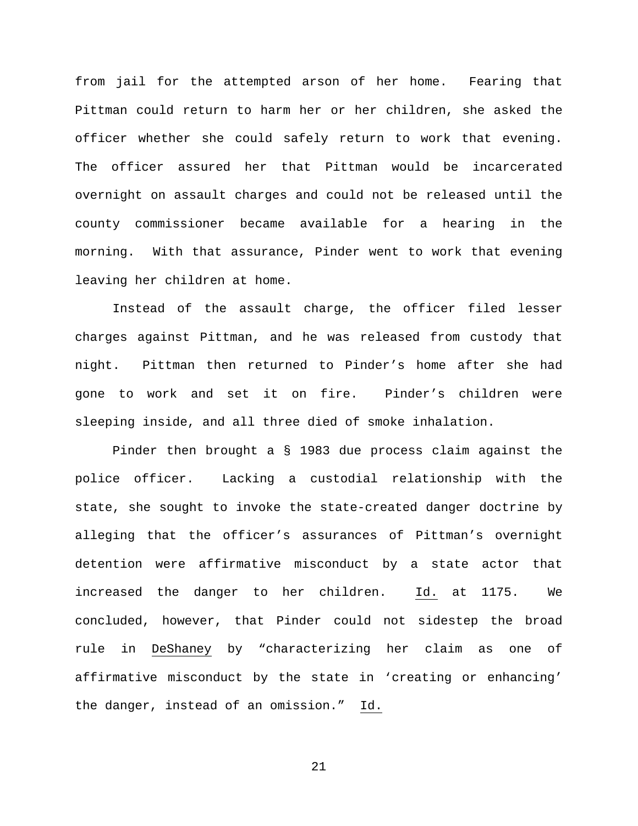from jail for the attempted arson of her home. Fearing that Pittman could return to harm her or her children, she asked the officer whether she could safely return to work that evening. The officer assured her that Pittman would be incarcerated overnight on assault charges and could not be released until the county commissioner became available for a hearing in the morning. With that assurance, Pinder went to work that evening leaving her children at home.

Instead of the assault charge, the officer filed lesser charges against Pittman, and he was released from custody that night. Pittman then returned to Pinder's home after she had gone to work and set it on fire. Pinder's children were sleeping inside, and all three died of smoke inhalation.

Pinder then brought a § 1983 due process claim against the police officer. Lacking a custodial relationship with the state, she sought to invoke the state-created danger doctrine by alleging that the officer's assurances of Pittman's overnight detention were affirmative misconduct by a state actor that increased the danger to her children. Id. at 1175. We concluded, however, that Pinder could not sidestep the broad rule in DeShaney by "characterizing her claim as one of affirmative misconduct by the state in 'creating or enhancing' the danger, instead of an omission." Id.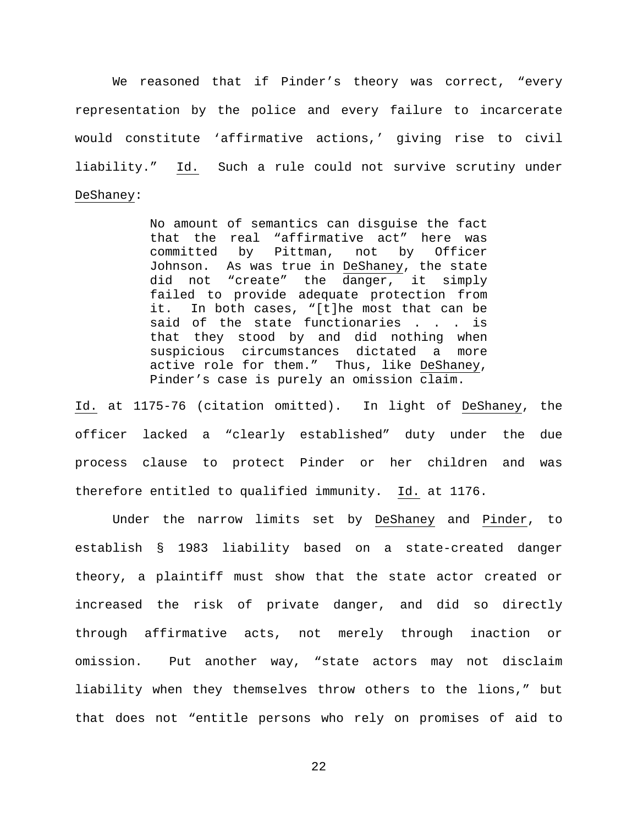We reasoned that if Pinder's theory was correct, "every representation by the police and every failure to incarcerate would constitute 'affirmative actions,' giving rise to civil liability." Id. Such a rule could not survive scrutiny under DeShaney:

> No amount of semantics can disguise the fact that the real "affirmative act" here was<br>committed by Pittman, not by Officer committed by Pittman, not Johnson. As was true in DeShaney, the state did not "create" the danger, it simply failed to provide adequate protection from it. In both cases, "[t]he most that can be said of the state functionaries . . . is that they stood by and did nothing when suspicious circumstances dictated a more active role for them." Thus, like DeShaney, Pinder's case is purely an omission claim.

Id. at 1175-76 (citation omitted). In light of DeShaney, the officer lacked a "clearly established" duty under the due process clause to protect Pinder or her children and was therefore entitled to qualified immunity. Id. at 1176.

Under the narrow limits set by DeShaney and Pinder, to establish § 1983 liability based on a state-created danger theory, a plaintiff must show that the state actor created or increased the risk of private danger, and did so directly through affirmative acts, not merely through inaction or omission. Put another way, "state actors may not disclaim liability when they themselves throw others to the lions," but that does not "entitle persons who rely on promises of aid to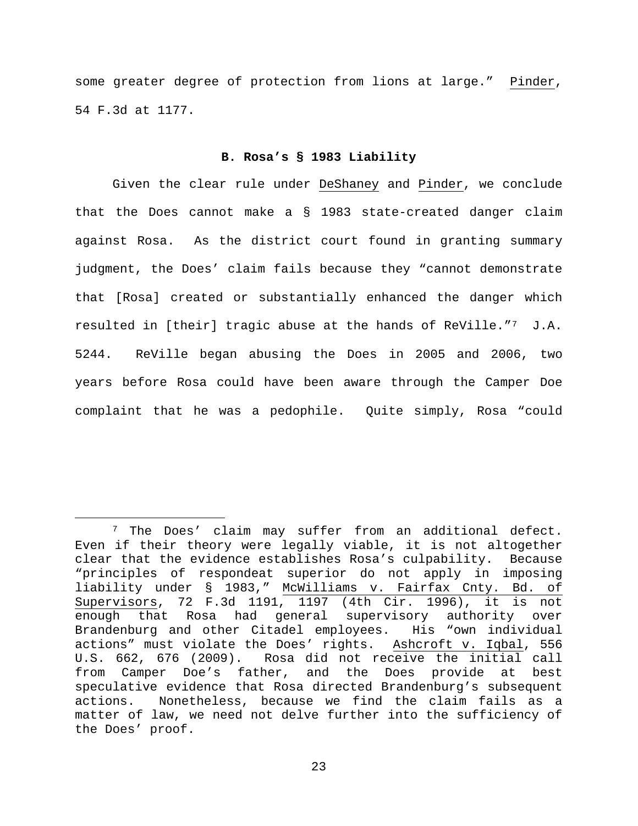some greater degree of protection from lions at large." Pinder, 54 F.3d at 1177.

#### **B. Rosa's § 1983 Liability**

Given the clear rule under DeShaney and Pinder, we conclude that the Does cannot make a § 1983 state-created danger claim against Rosa. As the district court found in granting summary judgment, the Does' claim fails because they "cannot demonstrate that [Rosa] created or substantially enhanced the danger which resulted in [their] tragic abuse at the hands of ReVille."[7](#page-22-0) J.A. 5244. ReVille began abusing the Does in 2005 and 2006, two years before Rosa could have been aware through the Camper Doe complaint that he was a pedophile. Quite simply, Rosa "could

<span id="page-22-0"></span> <sup>7</sup> The Does' claim may suffer from an additional defect. Even if their theory were legally viable, it is not altogether clear that the evidence establishes Rosa's culpability. Because "principles of respondeat superior do not apply in imposing liability under § 1983," McWilliams v. Fairfax Cnty. Bd. of Supervisors, 72 F.3d 1191, 1197 (4th Cir. 1996), it is not enough that Rosa had general supervisory authority over<br>Brandenburg and other Citadel employees. His "own individual Brandenburg and other Citadel employees. actions" must violate the Does' rights. Ashcroft v. Iqbal, 556 U.S. 662, 676 (2009). Rosa did not receive the initial call from Camper Doe's father, and the Does provide at best speculative evidence that Rosa directed Brandenburg's subsequent actions. Nonetheless, because we find the claim fails as a matter of law, we need not delve further into the sufficiency of the Does' proof.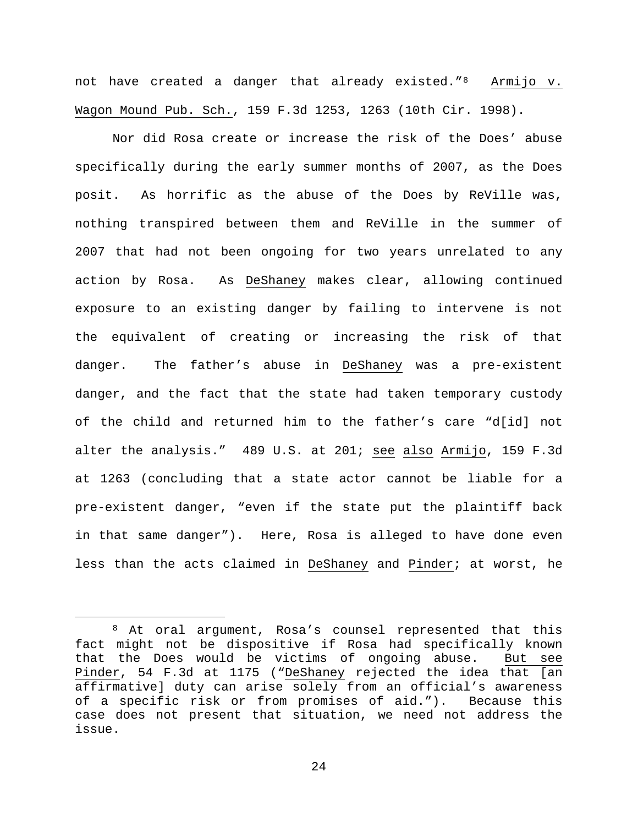not have created a danger that already existed."[8](#page-23-0) Armijo v. Wagon Mound Pub. Sch., 159 F.3d 1253, 1263 (10th Cir. 1998).

Nor did Rosa create or increase the risk of the Does' abuse specifically during the early summer months of 2007, as the Does posit. As horrific as the abuse of the Does by ReVille was, nothing transpired between them and ReVille in the summer of 2007 that had not been ongoing for two years unrelated to any action by Rosa. As DeShaney makes clear, allowing continued exposure to an existing danger by failing to intervene is not the equivalent of creating or increasing the risk of that danger. The father's abuse in DeShaney was a pre-existent danger, and the fact that the state had taken temporary custody of the child and returned him to the father's care "d[id] not alter the analysis." 489 U.S. at 201; see also Armijo, 159 F.3d at 1263 (concluding that a state actor cannot be liable for a pre-existent danger, "even if the state put the plaintiff back in that same danger"). Here, Rosa is alleged to have done even less than the acts claimed in DeShaney and Pinder; at worst, he

<span id="page-23-0"></span> <sup>8</sup> At oral argument, Rosa's counsel represented that this fact might not be dispositive if Rosa had specifically known that the Does would be victims of ongoing abuse. But see Pinder, 54 F.3d at 1175 ("DeShaney rejected the idea that [an affirmative] duty can arise solely from an official's awareness of a specific risk or from promises of aid."). Because this case does not present that situation, we need not address the issue.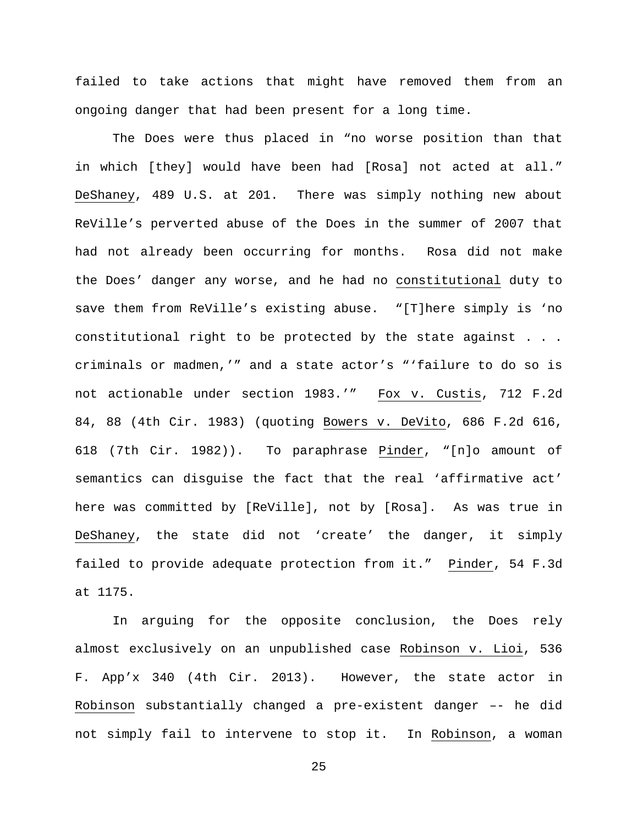failed to take actions that might have removed them from an ongoing danger that had been present for a long time.

The Does were thus placed in "no worse position than that in which [they] would have been had [Rosa] not acted at all." DeShaney, 489 U.S. at 201. There was simply nothing new about ReVille's perverted abuse of the Does in the summer of 2007 that had not already been occurring for months. Rosa did not make the Does' danger any worse, and he had no constitutional duty to save them from ReVille's existing abuse. "[T]here simply is 'no constitutional right to be protected by the state against . . . criminals or madmen,'" and a state actor's "'failure to do so is not actionable under section 1983.'" Fox v. Custis, 712 F.2d 84, 88 (4th Cir. 1983) (quoting Bowers v. DeVito, 686 F.2d 616, 618 (7th Cir. 1982)). To paraphrase Pinder, "[n]o amount of semantics can disguise the fact that the real 'affirmative act' here was committed by [ReVille], not by [Rosa]. As was true in DeShaney, the state did not 'create' the danger, it simply failed to provide adequate protection from it." Pinder, 54 F.3d at 1175.

In arguing for the opposite conclusion, the Does rely almost exclusively on an unpublished case Robinson v. Lioi, 536 F. App'x 340 (4th Cir. 2013). However, the state actor in Robinson substantially changed a pre-existent danger –- he did not simply fail to intervene to stop it. In Robinson, a woman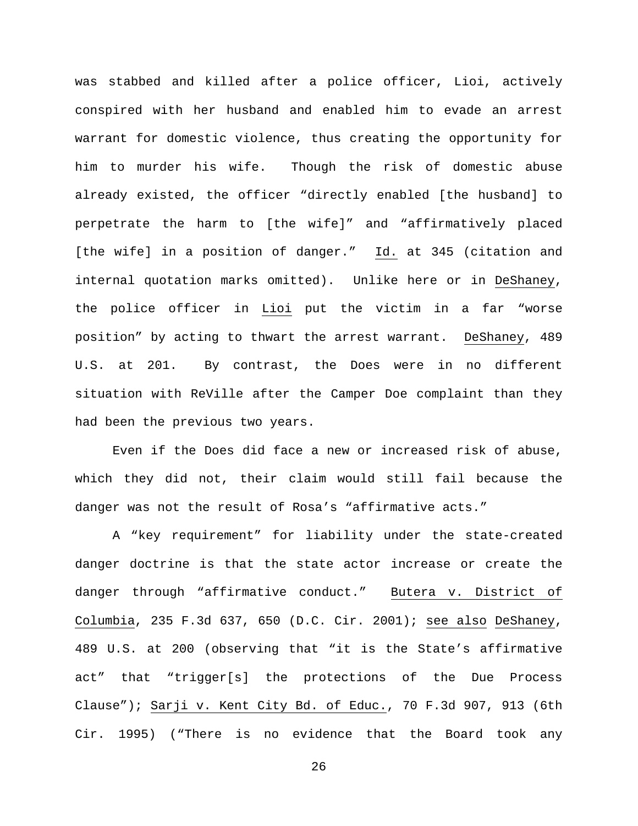was stabbed and killed after a police officer, Lioi, actively conspired with her husband and enabled him to evade an arrest warrant for domestic violence, thus creating the opportunity for him to murder his wife. Though the risk of domestic abuse already existed, the officer "directly enabled [the husband] to perpetrate the harm to [the wife]" and "affirmatively placed [the wife] in a position of danger." Id. at 345 (citation and internal quotation marks omitted). Unlike here or in DeShaney, the police officer in Lioi put the victim in a far "worse position" by acting to thwart the arrest warrant. DeShaney, 489 U.S. at 201. By contrast, the Does were in no different situation with ReVille after the Camper Doe complaint than they had been the previous two years.

Even if the Does did face a new or increased risk of abuse, which they did not, their claim would still fail because the danger was not the result of Rosa's "affirmative acts."

A "key requirement" for liability under the state-created danger doctrine is that the state actor increase or create the danger through "affirmative conduct." Butera v. District of Columbia, 235 F.3d 637, 650 (D.C. Cir. 2001); see also DeShaney, 489 U.S. at 200 (observing that "it is the State's affirmative act" that "trigger[s] the protections of the Due Process Clause"); Sarji v. Kent City Bd. of Educ., 70 F.3d 907, 913 (6th Cir. 1995) ("There is no evidence that the Board took any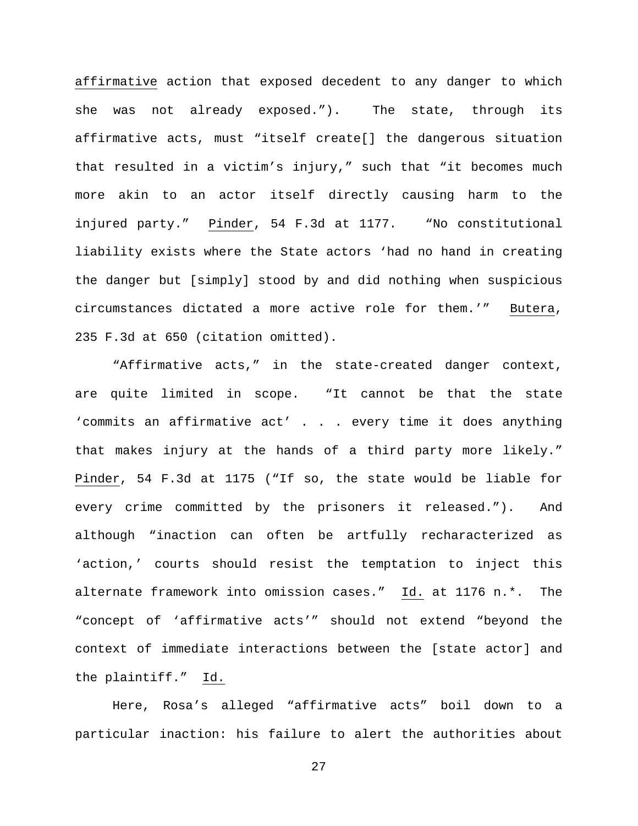affirmative action that exposed decedent to any danger to which she was not already exposed."). The state, through its affirmative acts, must "itself create[] the dangerous situation that resulted in a victim's injury," such that "it becomes much more akin to an actor itself directly causing harm to the injured party." Pinder, 54 F.3d at 1177. "No constitutional liability exists where the State actors 'had no hand in creating the danger but [simply] stood by and did nothing when suspicious circumstances dictated a more active role for them.'" Butera, 235 F.3d at 650 (citation omitted).

"Affirmative acts," in the state-created danger context, are quite limited in scope. "It cannot be that the state 'commits an affirmative act' . . . every time it does anything that makes injury at the hands of a third party more likely." Pinder, 54 F.3d at 1175 ("If so, the state would be liable for every crime committed by the prisoners it released."). And although "inaction can often be artfully recharacterized as 'action,' courts should resist the temptation to inject this alternate framework into omission cases." Id. at 1176 n.\*. The "concept of 'affirmative acts'" should not extend "beyond the context of immediate interactions between the [state actor] and the plaintiff." Id.

Here, Rosa's alleged "affirmative acts" boil down to a particular inaction: his failure to alert the authorities about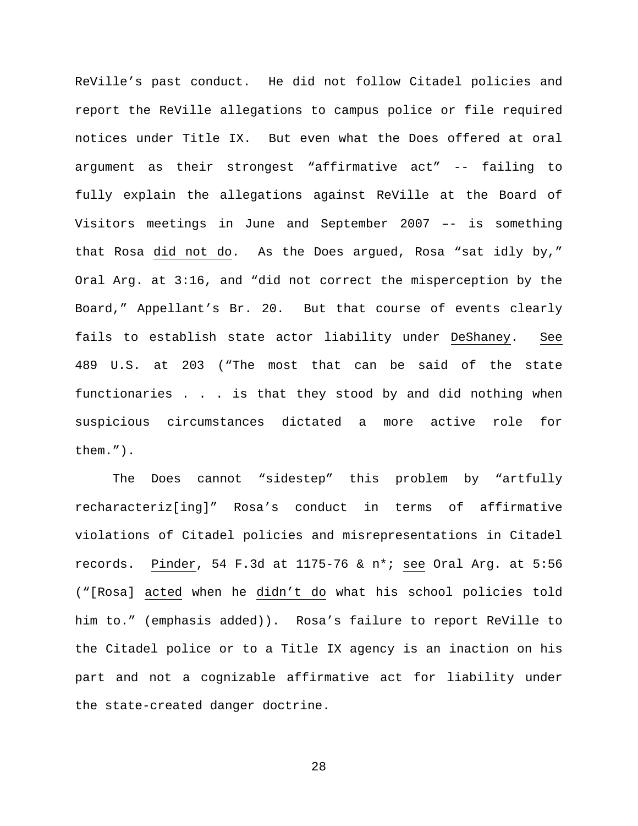ReVille's past conduct. He did not follow Citadel policies and report the ReVille allegations to campus police or file required notices under Title IX. But even what the Does offered at oral argument as their strongest "affirmative act" -- failing to fully explain the allegations against ReVille at the Board of Visitors meetings in June and September 2007 –- is something that Rosa did not do. As the Does argued, Rosa "sat idly by," Oral Arg. at 3:16, and "did not correct the misperception by the Board," Appellant's Br. 20. But that course of events clearly fails to establish state actor liability under DeShaney. See 489 U.S. at 203 ("The most that can be said of the state functionaries . . . is that they stood by and did nothing when suspicious circumstances dictated a more active role for them.").

The Does cannot "sidestep" this problem by "artfully recharacteriz[ing]" Rosa's conduct in terms of affirmative violations of Citadel policies and misrepresentations in Citadel records. Pinder, 54 F.3d at 1175-76 & n\*; see Oral Arg. at 5:56 ("[Rosa] acted when he didn't do what his school policies told him to." (emphasis added)). Rosa's failure to report ReVille to the Citadel police or to a Title IX agency is an inaction on his part and not a cognizable affirmative act for liability under the state-created danger doctrine.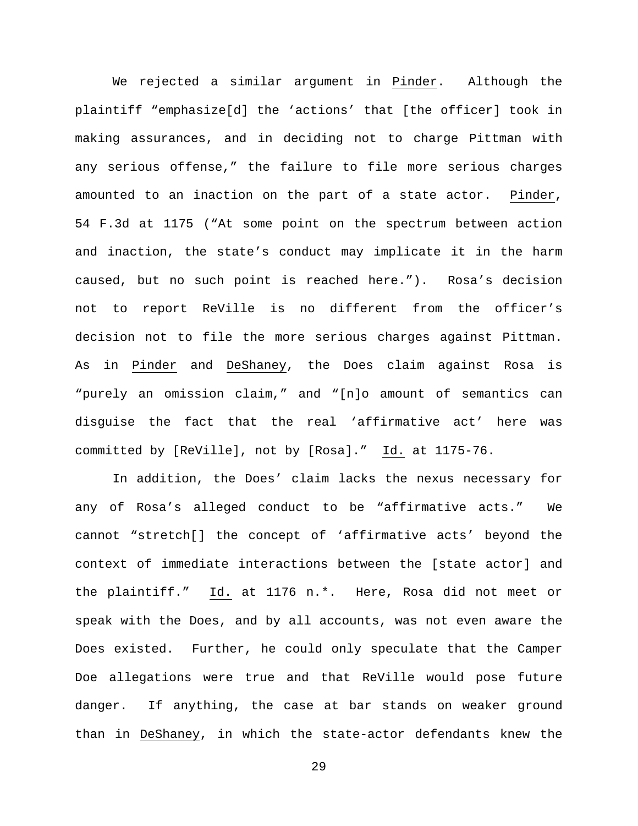We rejected a similar argument in Pinder. Although the plaintiff "emphasize[d] the 'actions' that [the officer] took in making assurances, and in deciding not to charge Pittman with any serious offense," the failure to file more serious charges amounted to an inaction on the part of a state actor. Pinder, 54 F.3d at 1175 ("At some point on the spectrum between action and inaction, the state's conduct may implicate it in the harm caused, but no such point is reached here."). Rosa's decision not to report ReVille is no different from the officer's decision not to file the more serious charges against Pittman. As in Pinder and DeShaney, the Does claim against Rosa is "purely an omission claim," and "[n]o amount of semantics can disguise the fact that the real 'affirmative act' here was committed by [ReVille], not by [Rosa]." Id. at 1175-76.

In addition, the Does' claim lacks the nexus necessary for any of Rosa's alleged conduct to be "affirmative acts." We cannot "stretch[] the concept of 'affirmative acts' beyond the context of immediate interactions between the [state actor] and the plaintiff." Id. at 1176 n.\*. Here, Rosa did not meet or speak with the Does, and by all accounts, was not even aware the Does existed. Further, he could only speculate that the Camper Doe allegations were true and that ReVille would pose future danger. If anything, the case at bar stands on weaker ground than in DeShaney, in which the state-actor defendants knew the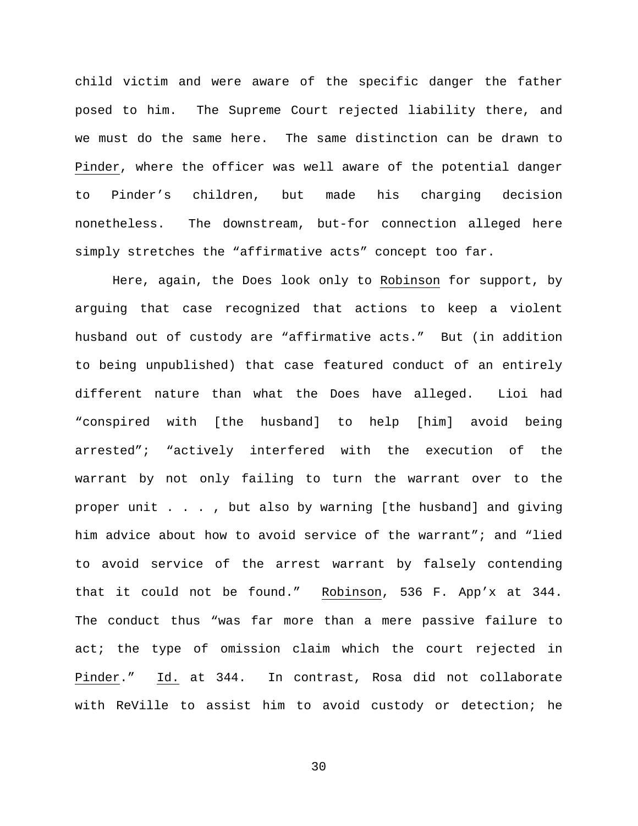child victim and were aware of the specific danger the father posed to him. The Supreme Court rejected liability there, and we must do the same here. The same distinction can be drawn to Pinder, where the officer was well aware of the potential danger to Pinder's children, but made his charging decision nonetheless. The downstream, but-for connection alleged here simply stretches the "affirmative acts" concept too far.

Here, again, the Does look only to Robinson for support, by arguing that case recognized that actions to keep a violent husband out of custody are "affirmative acts." But (in addition to being unpublished) that case featured conduct of an entirely different nature than what the Does have alleged. Lioi had "conspired with [the husband] to help [him] avoid being arrested"; "actively interfered with the execution of the warrant by not only failing to turn the warrant over to the proper unit . . . , but also by warning [the husband] and giving him advice about how to avoid service of the warrant"; and "lied to avoid service of the arrest warrant by falsely contending that it could not be found." Robinson, 536 F. App'x at 344. The conduct thus "was far more than a mere passive failure to act; the type of omission claim which the court rejected in Pinder." Id. at 344. In contrast, Rosa did not collaborate with ReVille to assist him to avoid custody or detection; he